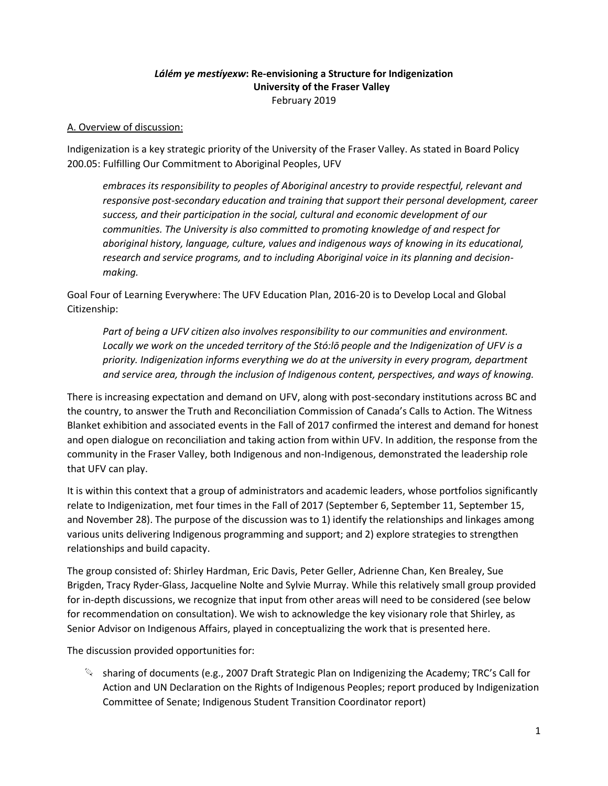## *Lálém ye mestíyexw***: Re-envisioning a Structure for Indigenization University of the Fraser Valley** February 2019

#### A. Overview of discussion:

Indigenization is a key strategic priority of the University of the Fraser Valley. As stated in Board Policy 200.05: Fulfilling Our Commitment to Aboriginal Peoples, UFV

*embraces its responsibility to peoples of Aboriginal ancestry to provide respectful, relevant and responsive post-secondary education and training that support their personal development, career success, and their participation in the social, cultural and economic development of our communities. The University is also committed to promoting knowledge of and respect for aboriginal history, language, culture, values and indigenous ways of knowing in its educational, research and service programs, and to including Aboriginal voice in its planning and decisionmaking.*

Goal Four of Learning Everywhere: The UFV Education Plan, 2016-20 is to Develop Local and Global Citizenship:

*Part of being a UFV citizen also involves responsibility to our communities and environment. Locally we work on the unceded territory of the Stó:lō people and the Indigenization of UFV is a priority. Indigenization informs everything we do at the university in every program, department and service area, through the inclusion of Indigenous content, perspectives, and ways of knowing.*

There is increasing expectation and demand on UFV, along with post-secondary institutions across BC and the country, to answer the Truth and Reconciliation Commission of Canada's Calls to Action. The Witness Blanket exhibition and associated events in the Fall of 2017 confirmed the interest and demand for honest and open dialogue on reconciliation and taking action from within UFV. In addition, the response from the community in the Fraser Valley, both Indigenous and non-Indigenous, demonstrated the leadership role that UFV can play.

It is within this context that a group of administrators and academic leaders, whose portfolios significantly relate to Indigenization, met four times in the Fall of 2017 (September 6, September 11, September 15, and November 28). The purpose of the discussion was to 1) identify the relationships and linkages among various units delivering Indigenous programming and support; and 2) explore strategies to strengthen relationships and build capacity.

The group consisted of: Shirley Hardman, Eric Davis, Peter Geller, Adrienne Chan, Ken Brealey, Sue Brigden, Tracy Ryder-Glass, Jacqueline Nolte and Sylvie Murray. While this relatively small group provided for in-depth discussions, we recognize that input from other areas will need to be considered (see below for recommendation on consultation). We wish to acknowledge the key visionary role that Shirley, as Senior Advisor on Indigenous Affairs, played in conceptualizing the work that is presented here.

The discussion provided opportunities for:

 $\mathbb{Q}$  sharing of documents (e.g., 2007 Draft Strategic Plan on Indigenizing the Academy; TRC's Call for Action and UN Declaration on the Rights of Indigenous Peoples; report produced by Indigenization Committee of Senate; Indigenous Student Transition Coordinator report)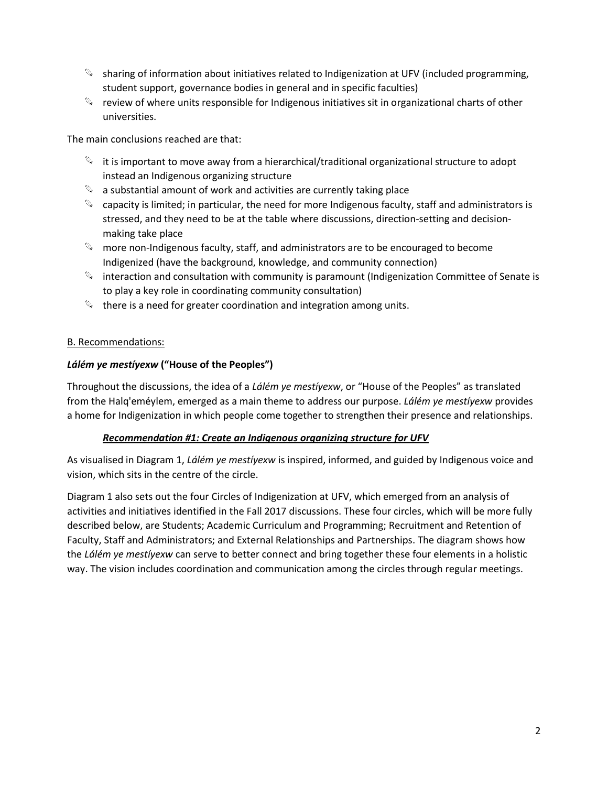- $\mathbb{S}$  sharing of information about initiatives related to Indigenization at UFV (included programming, student support, governance bodies in general and in specific faculties)
- $\mathbb{Q}$  review of where units responsible for Indigenous initiatives sit in organizational charts of other universities.

The main conclusions reached are that:

- $\mathbb{S}$  it is important to move away from a hierarchical/traditional organizational structure to adopt instead an Indigenous organizing structure
- $\mathbb{Q}$  a substantial amount of work and activities are currently taking place
- $\mathbb{Q}$  capacity is limited; in particular, the need for more Indigenous faculty, staff and administrators is stressed, and they need to be at the table where discussions, direction-setting and decisionmaking take place
- $\mathbb{Q}$  more non-Indigenous faculty, staff, and administrators are to be encouraged to become Indigenized (have the background, knowledge, and community connection)
- $\mathbb{S}$  interaction and consultation with community is paramount (Indigenization Committee of Senate is to play a key role in coordinating community consultation)
- $\mathbb{Q}$  there is a need for greater coordination and integration among units.

### B. Recommendations:

### *Lálém ye mestíyexw* **("House of the Peoples")**

Throughout the discussions, the idea of a *Lálém ye mestíyexw*, or "House of the Peoples" as translated from the Halq'eméylem, emerged as a main theme to address our purpose. *Lálém ye mestíyexw* provides a home for Indigenization in which people come together to strengthen their presence and relationships.

#### *Recommendation #1: Create an Indigenous organizing structure for UFV*

As visualised in Diagram 1, *Lálém ye mestíyexw* is inspired, informed, and guided by Indigenous voice and vision, which sits in the centre of the circle.

Diagram 1 also sets out the four Circles of Indigenization at UFV, which emerged from an analysis of activities and initiatives identified in the Fall 2017 discussions. These four circles, which will be more fully described below, are Students; Academic Curriculum and Programming; Recruitment and Retention of Faculty, Staff and Administrators; and External Relationships and Partnerships. The diagram shows how the *Lálém ye mestíyexw* can serve to better connect and bring together these four elements in a holistic way. The vision includes coordination and communication among the circles through regular meetings.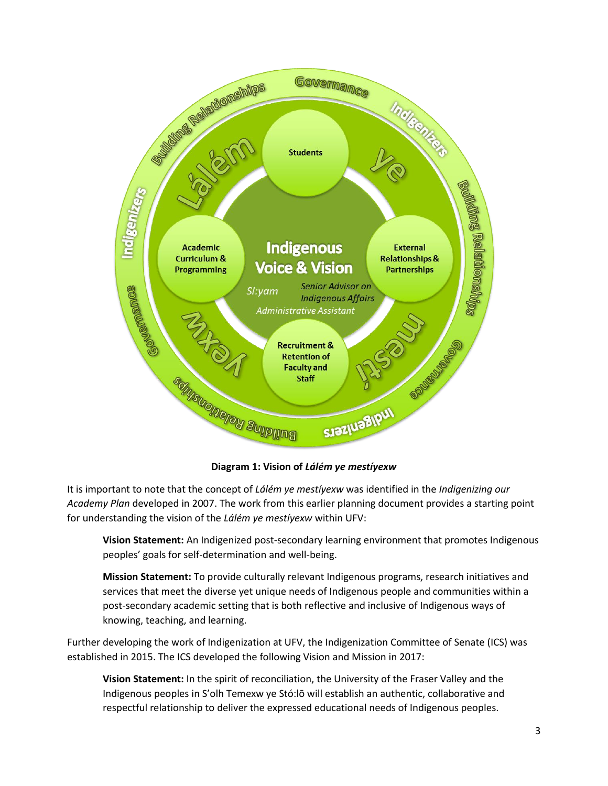

**Diagram 1: Vision of** *Lálém ye mestíyexw*

It is important to note that the concept of *Lálém ye mestíyexw* was identified in the *Indigenizing our Academy Plan* developed in 2007. The work from this earlier planning document provides a starting point for understanding the vision of the *Lálém ye mestíyexw* within UFV:

**Vision Statement:** An Indigenized post-secondary learning environment that promotes Indigenous peoples' goals for self-determination and well-being.

**Mission Statement:** To provide culturally relevant Indigenous programs, research initiatives and services that meet the diverse yet unique needs of Indigenous people and communities within a post-secondary academic setting that is both reflective and inclusive of Indigenous ways of knowing, teaching, and learning.

Further developing the work of Indigenization at UFV, the Indigenization Committee of Senate (ICS) was established in 2015. The ICS developed the following Vision and Mission in 2017:

**Vision Statement:** In the spirit of reconciliation, the University of the Fraser Valley and the Indigenous peoples in S'olh Temexw ye Stó:lō will establish an authentic, collaborative and respectful relationship to deliver the expressed educational needs of Indigenous peoples.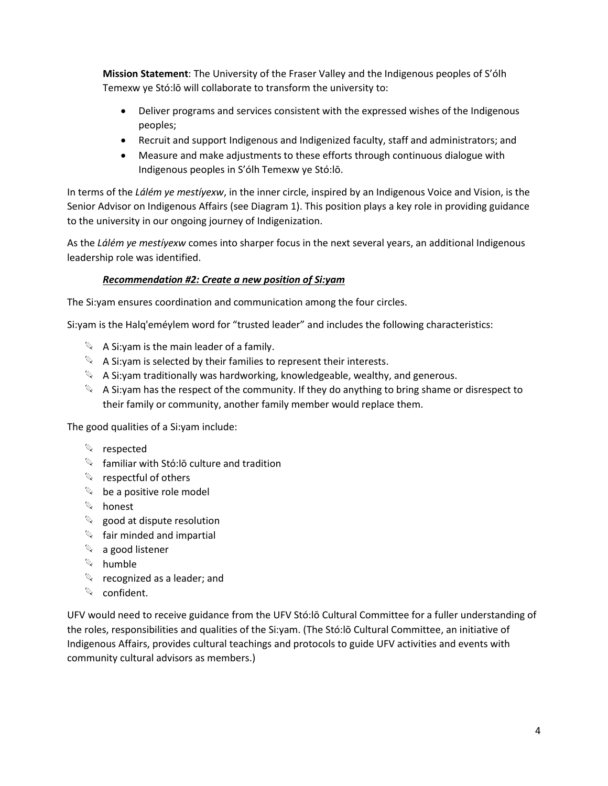**Mission Statement**: The University of the Fraser Valley and the Indigenous peoples of S'ólh Temexw ye Stó:lō will collaborate to transform the university to:

- Deliver programs and services consistent with the expressed wishes of the Indigenous peoples;
- Recruit and support Indigenous and Indigenized faculty, staff and administrators; and
- Measure and make adjustments to these efforts through continuous dialogue with Indigenous peoples in S'ólh Temexw ye Stó:lō.

In terms of the *Lálém ye mestíyexw*, in the inner circle, inspired by an Indigenous Voice and Vision, is the Senior Advisor on Indigenous Affairs (see Diagram 1). This position plays a key role in providing guidance to the university in our ongoing journey of Indigenization.

As the *Lálém ye mestíyexw* comes into sharper focus in the next several years, an additional Indigenous leadership role was identified.

## *Recommendation #2: Create a new position of Si:yam*

The Si:yam ensures coordination and communication among the four circles.

Si:yam is the Halq'eméylem word for "trusted leader" and includes the following characteristics:

- $\mathbb{Q}$  A Si: yam is the main leader of a family.
- $\mathbb{Q}$  A Si: yam is selected by their families to represent their interests.
- $\mathbb{Q}$  A Si: yam traditionally was hardworking, knowledgeable, wealthy, and generous.
- $\mathbb{Q}$  A Si: yam has the respect of the community. If they do anything to bring shame or disrespect to their family or community, another family member would replace them.

The good qualities of a Si:yam include:

- **Exerce respected**
- $\mathbb{R}$  familiar with Stó:lō culture and tradition
- $\mathbb{Q}$  respectful of others
- $\%$  be a positive role model
- $\mathbb{Q}$  honest
- $\mathbb{Q}$  good at dispute resolution
- $\mathbb{Q}$  fair minded and impartial
- $\mathbb{Q}$  a good listener
- $\mathbb{Q}$  humble
- $\mathbb{Q}$  recognized as a leader; and
- $\mathbb{Q}$  confident.

UFV would need to receive guidance from the UFV Stó:lō Cultural Committee for a fuller understanding of the roles, responsibilities and qualities of the Si:yam. (The Stó:lō Cultural Committee, an initiative of Indigenous Affairs, provides cultural teachings and protocols to guide UFV activities and events with community cultural advisors as members.)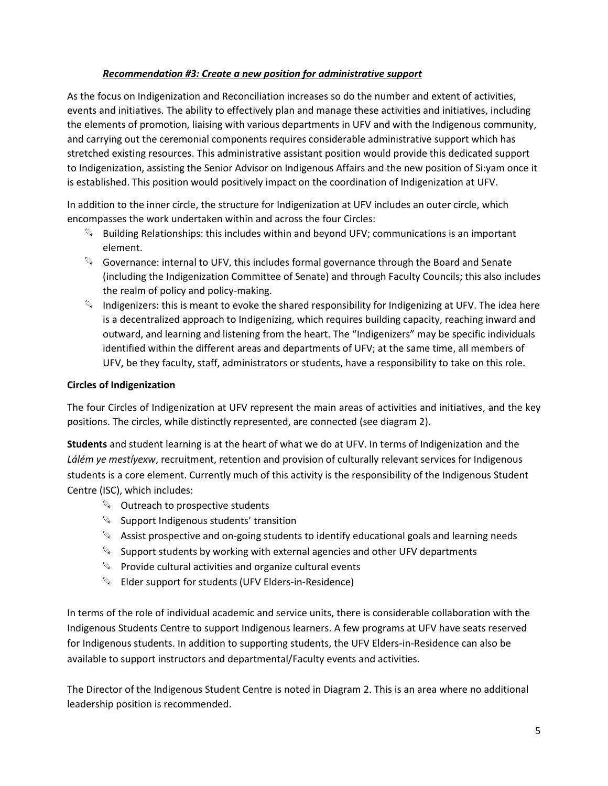## *Recommendation #3: Create a new position for administrative support*

As the focus on Indigenization and Reconciliation increases so do the number and extent of activities, events and initiatives. The ability to effectively plan and manage these activities and initiatives, including the elements of promotion, liaising with various departments in UFV and with the Indigenous community, and carrying out the ceremonial components requires considerable administrative support which has stretched existing resources. This administrative assistant position would provide this dedicated support to Indigenization, assisting the Senior Advisor on Indigenous Affairs and the new position of Si:yam once it is established. This position would positively impact on the coordination of Indigenization at UFV.

In addition to the inner circle, the structure for Indigenization at UFV includes an outer circle, which encompasses the work undertaken within and across the four Circles:

- $\mathbb{S}$  Building Relationships: this includes within and beyond UFV; communications is an important element.
- $\mathbb{Q}$  Governance: internal to UFV, this includes formal governance through the Board and Senate (including the Indigenization Committee of Senate) and through Faculty Councils; this also includes the realm of policy and policy-making.
- $\mathbb{Q}$  Indigenizers: this is meant to evoke the shared responsibility for Indigenizing at UFV. The idea here is a decentralized approach to Indigenizing, which requires building capacity, reaching inward and outward, and learning and listening from the heart. The "Indigenizers" may be specific individuals identified within the different areas and departments of UFV; at the same time, all members of UFV, be they faculty, staff, administrators or students, have a responsibility to take on this role.

### **Circles of Indigenization**

The four Circles of Indigenization at UFV represent the main areas of activities and initiatives, and the key positions. The circles, while distinctly represented, are connected (see diagram 2).

**Students** and student learning is at the heart of what we do at UFV. In terms of Indigenization and the *Lálém ye mestíyexw*, recruitment, retention and provision of culturally relevant services for Indigenous students is a core element. Currently much of this activity is the responsibility of the Indigenous Student Centre (ISC), which includes:

- $\mathbb{Q}$  Outreach to prospective students
- $\mathbb{S}$  Support Indigenous students' transition
- $\mathbb{Q}$  Assist prospective and on-going students to identify educational goals and learning needs
- $\mathbb{Q}$  Support students by working with external agencies and other UFV departments
- $\mathbb{Q}$  Provide cultural activities and organize cultural events
- **Elder support for students (UFV Elders-in-Residence)**

In terms of the role of individual academic and service units, there is considerable collaboration with the Indigenous Students Centre to support Indigenous learners. A few programs at UFV have seats reserved for Indigenous students. In addition to supporting students, the UFV Elders-in-Residence can also be available to support instructors and departmental/Faculty events and activities.

The Director of the Indigenous Student Centre is noted in Diagram 2. This is an area where no additional leadership position is recommended.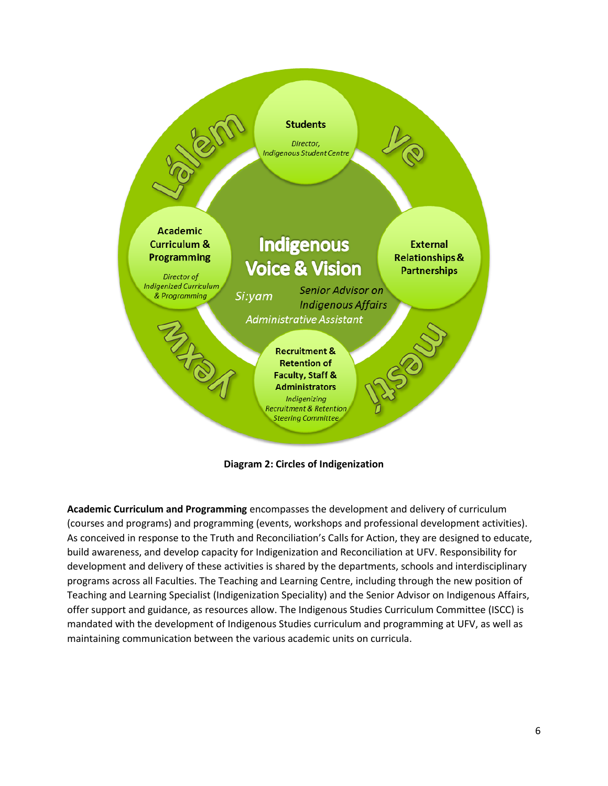

**Diagram 2: Circles of Indigenization**

**Academic Curriculum and Programming** encompasses the development and delivery of curriculum (courses and programs) and programming (events, workshops and professional development activities). As conceived in response to the Truth and Reconciliation's Calls for Action, they are designed to educate, build awareness, and develop capacity for Indigenization and Reconciliation at UFV. Responsibility for development and delivery of these activities is shared by the departments, schools and interdisciplinary programs across all Faculties. The Teaching and Learning Centre, including through the new position of Teaching and Learning Specialist (Indigenization Speciality) and the Senior Advisor on Indigenous Affairs, offer support and guidance, as resources allow. The Indigenous Studies Curriculum Committee (ISCC) is mandated with the development of Indigenous Studies curriculum and programming at UFV, as well as maintaining communication between the various academic units on curricula.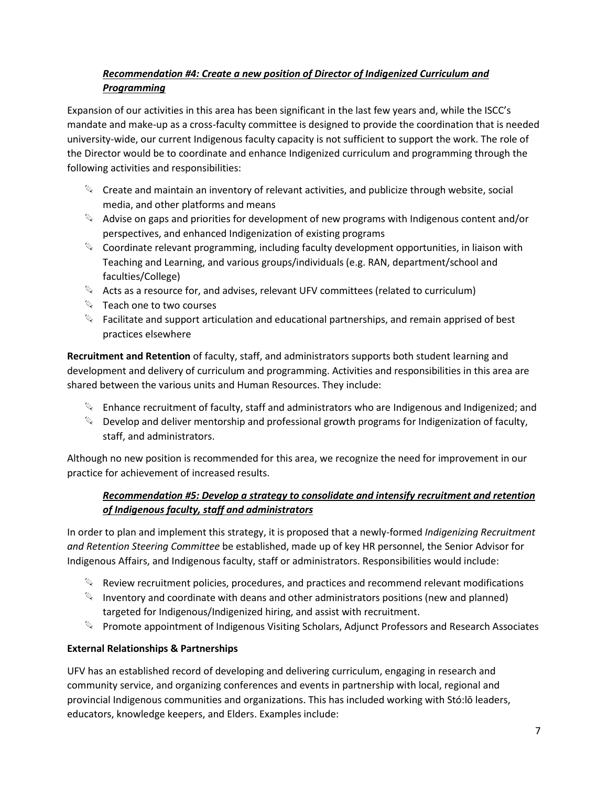# *Recommendation #4: Create a new position of Director of Indigenized Curriculum and Programming*

Expansion of our activities in this area has been significant in the last few years and, while the ISCC's mandate and make-up as a cross-faculty committee is designed to provide the coordination that is needed university-wide, our current Indigenous faculty capacity is not sufficient to support the work. The role of the Director would be to coordinate and enhance Indigenized curriculum and programming through the following activities and responsibilities:

- $\mathbb{Q}$  Create and maintain an inventory of relevant activities, and publicize through website, social media, and other platforms and means
- $\mathbb{Q}$  Advise on gaps and priorities for development of new programs with Indigenous content and/or perspectives, and enhanced Indigenization of existing programs
- $\mathbb{Q}$  Coordinate relevant programming, including faculty development opportunities, in liaison with Teaching and Learning, and various groups/individuals (e.g. RAN, department/school and faculties/College)
- $\mathcal{A}$  Acts as a resource for, and advises, relevant UFV committees (related to curriculum)
- $\%$  Teach one to two courses
- $\mathbb{S}$  Facilitate and support articulation and educational partnerships, and remain apprised of best practices elsewhere

**Recruitment and Retention** of faculty, staff, and administrators supports both student learning and development and delivery of curriculum and programming. Activities and responsibilities in this area are shared between the various units and Human Resources. They include:

- $\mathbb{Q}$  Enhance recruitment of faculty, staff and administrators who are Indigenous and Indigenized; and
- $\mathbb{Q}$  Develop and deliver mentorship and professional growth programs for Indigenization of faculty, staff, and administrators.

Although no new position is recommended for this area, we recognize the need for improvement in our practice for achievement of increased results.

# *Recommendation #5: Develop a strategy to consolidate and intensify recruitment and retention of Indigenous faculty, staff and administrators*

In order to plan and implement this strategy, it is proposed that a newly-formed *Indigenizing Recruitment and Retention Steering Committee* be established, made up of key HR personnel, the Senior Advisor for Indigenous Affairs, and Indigenous faculty, staff or administrators. Responsibilities would include:

- $\mathbb{Q}$  Review recruitment policies, procedures, and practices and recommend relevant modifications
- $\mathbb{Q}$  Inventory and coordinate with deans and other administrators positions (new and planned) targeted for Indigenous/Indigenized hiring, and assist with recruitment.
- Promote appointment of Indigenous Visiting Scholars, Adjunct Professors and Research Associates

# **External Relationships & Partnerships**

UFV has an established record of developing and delivering curriculum, engaging in research and community service, and organizing conferences and events in partnership with local, regional and provincial Indigenous communities and organizations. This has included working with Stó:lō leaders, educators, knowledge keepers, and Elders. Examples include: